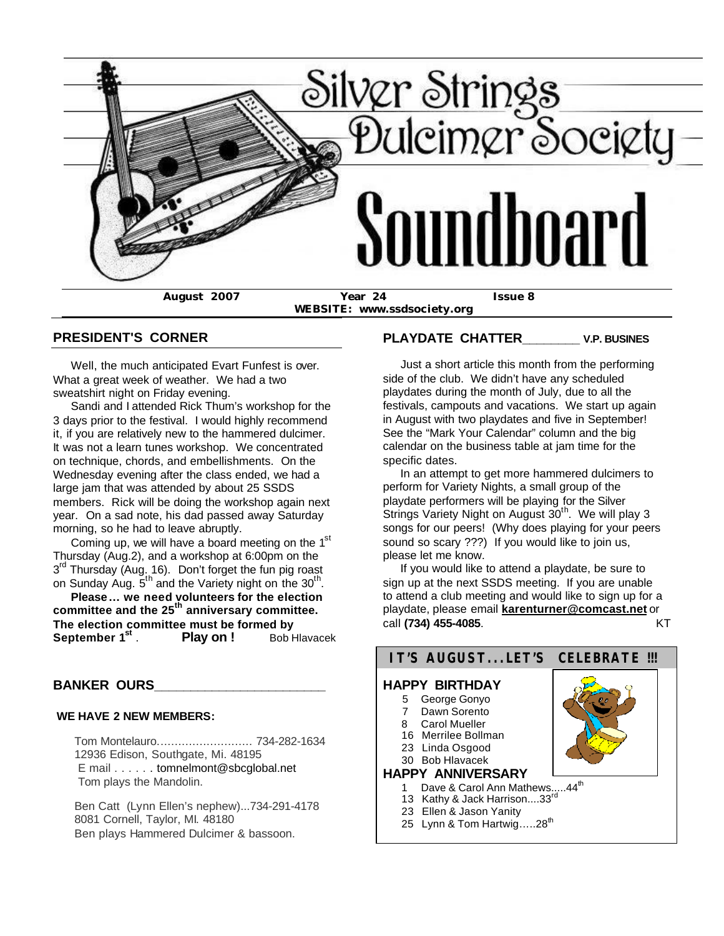

**WEBSITE: www.ssdsociety.org**

#### **PRESIDENT'S CORNER**

 Well, the much anticipated Evart Funfest is over. What a great week of weather. We had a two sweatshirt night on Friday evening.

 Sandi and I attended Rick Thum's workshop for the 3 days prior to the festival. I would highly recommend it, if you are relatively new to the hammered dulcimer. It was not a learn tunes workshop. We concentrated on technique, chords, and embellishments. On the Wednesday evening after the class ended, we had a large jam that was attended by about 25 SSDS members. Rick will be doing the workshop again next year. On a sad note, his dad passed away Saturday morning, so he had to leave abruptly.

Coming up, we will have a board meeting on the  $1<sup>st</sup>$ Thursday (Aug.2), and a workshop at 6:00pm on the 3<sup>rd</sup> Thursday (Aug. 16). Don't forget the fun pig roast on Sunday Aug.  $5^{th}$  and the Variety night on the 30<sup>th</sup>.

 **Please ... we need volunteers for the election committee and the 25th anniversary committee. The election committee must be formed by September 1st Play on !** Bob Hlavacek

#### **BANKER OURS\_\_\_\_\_\_\_\_\_\_\_\_\_\_\_\_\_\_\_\_\_\_\_\_**

#### **WE HAVE 2 NEW MEMBERS:**

 Tom Montelauro........................... 734-282-1634 12936 Edison, Southgate, Mi. 48195 E mail . . . . . . tomnelmont@sbcglobal.net Tom plays the Mandolin.

 Ben Catt (Lynn Ellen's nephew)...734-291-4178 8081 Cornell, Taylor, MI. 48180 Ben plays Hammered Dulcimer & bassoon.

### **PLAYDATE CHATTER\_\_\_\_\_\_\_\_ V.P. BUSINES**

 Just a short article this month from the performing side of the club. We didn't have any scheduled playdates during the month of July, due to all the festivals, campouts and vacations. We start up again in August with two playdates and five in September! See the "Mark Your Calendar" column and the big calendar on the business table at jam time for the specific dates.

 In an attempt to get more hammered dulcimers to perform for Variety Nights, a small group of the playdate performers will be playing for the Silver Strings Variety Night on August  $30<sup>th</sup>$ . We will play 3 songs for our peers! (Why does playing for your peers sound so scary ???) If you would like to join us, please let me know.

 If you would like to attend a playdate, be sure to sign up at the next SSDS meeting. If you are unable to attend a club meeting and would like to sign up for a playdate, please email **karenturner@comcast.net** or call **(734) 455-4085**. KT

# **IT'S AUGUST...LET'S CELEBRATE !!!**

### **HAPPY BIRTHDAY**

- 5 George Gonyo
- 7 Dawn Sorento
- 8 Carol Mueller
- 16 Merrilee Bollman 23 Linda Osgood
- 30 Bob Hlavacek

#### **HAPPY ANNIVERSARY**

- 1 Dave & Carol Ann Mathews.....44<sup>th</sup>
- 13 Kathy & Jack Harrison....33'
- 23 Ellen & Jason Yanity
- 25 Lynn & Tom Hartwig.....28<sup>th</sup>

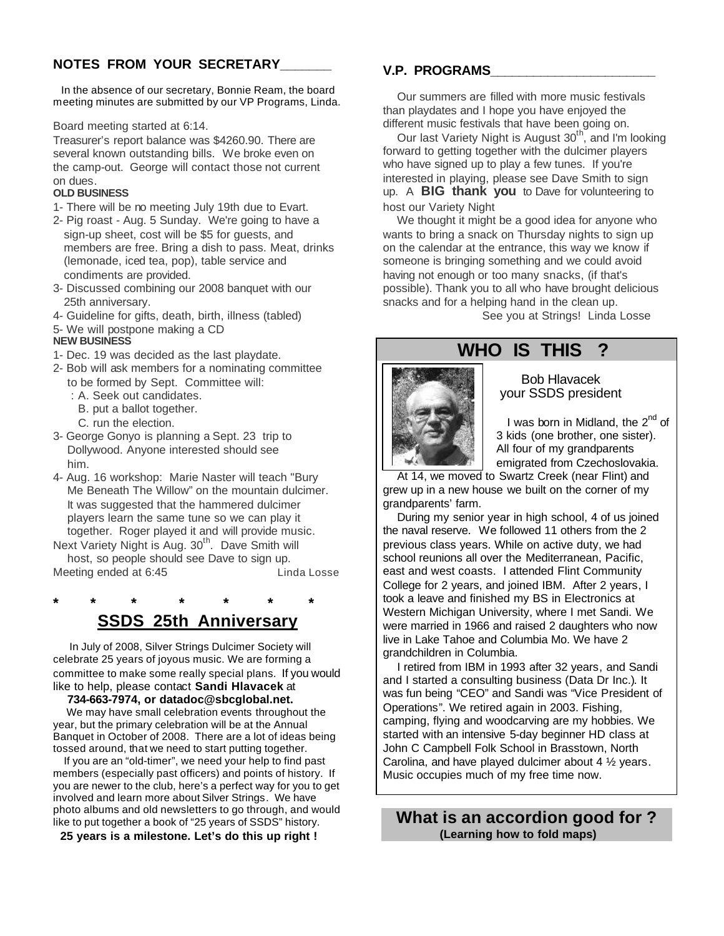### **NOTES FROM YOUR SECRETARY\_\_\_\_\_\_\_**

 In the absence of our secretary, Bonnie Ream, the board meeting minutes are submitted by our VP Programs, Linda.

Board meeting started at 6:14.

Treasurer's report balance was \$4260.90. There are several known outstanding bills. We broke even on the camp-out. George will contact those not current

#### on dues. **OLD BUSINESS**

- 1- There will be no meeting July 19th due to Evart.
- 2- Pig roast Aug. 5 Sunday. We're going to have a sign-up sheet, cost will be \$5 for guests, and members are free. Bring a dish to pass. Meat, drinks (lemonade, iced tea, pop), table service and condiments are provided.
- 3- Discussed combining our 2008 banquet with our 25th anniversary.
- 4- Guideline for gifts, death, birth, illness (tabled)
- 5- We will postpone making a CD **NEW BUSINESS**
- 1- Dec. 19 was decided as the last playdate.
- 2- Bob will ask members for a nominating committee to be formed by Sept. Committee will:
	- : A. Seek out candidates.
	- B. put a ballot together.
	- C. run the election.
- 3- George Gonyo is planning a Sept. 23 trip to Dollywood. Anyone interested should see him.
- 4- Aug. 16 workshop: Marie Naster will teach "Bury Me Beneath The Willow" on the mountain dulcimer. It was suggested that the hammered dulcimer players learn the same tune so we can play it together. Roger played it and will provide music.

Next Variety Night is Aug. 30<sup>th</sup>. Dave Smith will host, so people should see Dave to sign up. Meeting ended at 6:45 **Linda Losse** 

**\* \* \* \* \* \* \***

## **SSDS 25th Anniversary**

 In July of 2008, Silver Strings Dulcimer Society will celebrate 25 years of joyous music. We are forming a committee to make some really special plans. If you would like to help, please contact **Sandi Hlavacek** at

#### **734-663-7974, or datadoc@sbcglobal.net.**

 We may have small celebration events throughout the year, but the primary celebration will be at the Annual Banquet in October of 2008. There are a lot of ideas being tossed around, that we need to start putting together.

 If you are an "old-timer", we need your help to find past members (especially past officers) and points of history. If you are newer to the club, here's a perfect way for you to get involved and learn more about Silver Strings. We have photo albums and old newsletters to go through, and would like to put together a book of "25 years of SSDS" history.

 **25 years is a milestone. Let's do this up right !**

### **V.P. PROGRAMS\_\_\_\_\_\_\_\_\_\_\_\_\_\_\_\_\_\_\_\_\_\_\_**

 Our summers are filled with more music festivals than playdates and I hope you have enjoyed the different music festivals that have been going on.

Our last Variety Night is August 30<sup>th</sup>, and I'm looking forward to getting together with the dulcimer players who have signed up to play a few tunes. If you're interested in playing, please see Dave Smith to sign up. A **BIG thank you** to Dave for volunteering to host our Variety Night

 We thought it might be a good idea for anyone who wants to bring a snack on Thursday nights to sign up on the calendar at the entrance, this way we know if someone is bringing something and we could avoid having not enough or too many snacks, (if that's possible). Thank you to all who have brought delicious snacks and for a helping hand in the clean up.

See you at Strings! Linda Losse

# **WHO IS THIS ?**



### Bob Hlavacek your SSDS president

 $\blacksquare$  I was born in Midland, the  $2^{nd}$  of 3 kids (one brother, one sister). All four of my grandparents emigrated from Czechoslovakia.

 At 14, we moved to Swartz Creek (near Flint) and grew up in a new house we built on the corner of my grandparents' farm.

 During my senior year in high school, 4 of us joined the naval reserve. We followed 11 others from the 2 previous class years. While on active duty, we had school reunions all over the Mediterranean, Pacific, east and west coasts. I attended Flint Community College for 2 years, and joined IBM. After 2 years, I took a leave and finished my BS in Electronics at Western Michigan University, where I met Sandi. We were married in 1966 and raised 2 daughters who now live in Lake Tahoe and Columbia Mo. We have 2 grandchildren in Columbia.

 I retired from IBM in 1993 after 32 years, and Sandi and I started a consulting business (Data Dr Inc.). It was fun being "CEO" and Sandi was "Vice President of Operations". We retired again in 2003. Fishing, camping, flying and woodcarving are my hobbies. We started with an intensive 5-day beginner HD class at John C Campbell Folk School in Brasstown, North Carolina, and have played dulcimer about 4 ½ years. Music occupies much of my free time now.

 **What is an accordion good for ? (Learning how to fold maps)**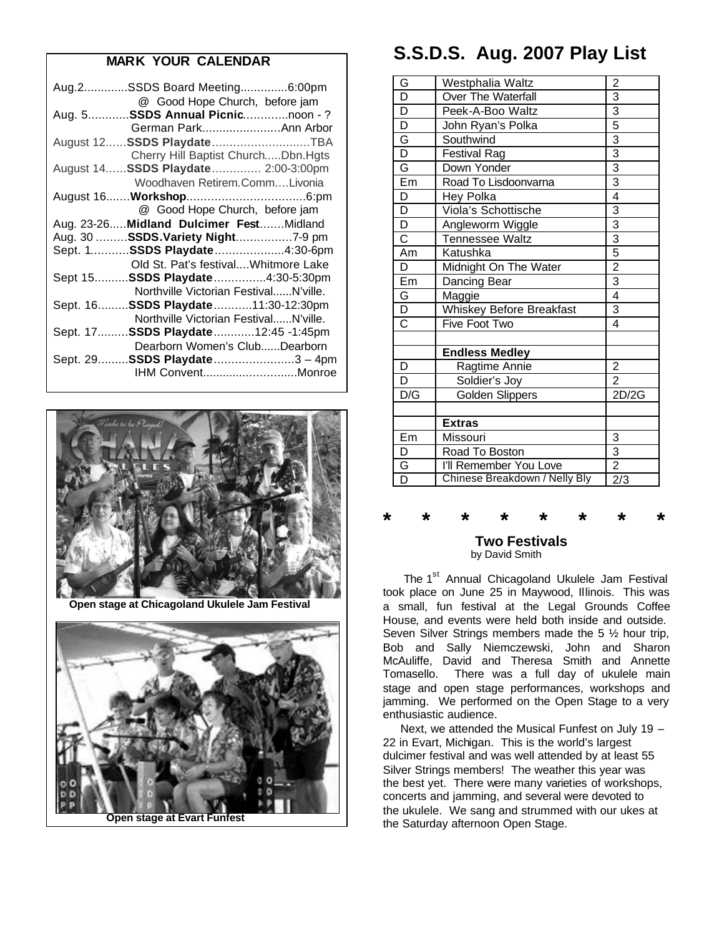### **MARK YOUR CALENDAR**

| Aug.2SSDS Board Meeting6:00pm            |
|------------------------------------------|
| @ Good Hope Church, before jam           |
| Aug. 5 SSDS Annual Picnicnoon -?         |
| German ParkAnn Arbor                     |
| August 12 SSDS PlaydateTBA               |
| Cherry Hill Baptist ChurchDbn.Hgts       |
| August 14 SSDS Playdate 2:00-3:00pm      |
| Woodhaven Retirem.CommLivonia            |
|                                          |
| @ Good Hope Church, before jam           |
| Aug. 23-26 Midland Dulcimer Fest Midland |
| Aug. 30 SSDS.Variety Night7-9 pm         |
| Sept. 1SSDS Playdate4:30-6pm             |
|                                          |
| Old St. Pat's festival Whitmore Lake     |
| Sept 15 SSDS Playdate4:30-5:30pm         |
| Northville Victorian FestivalN'ville.    |
| Sept. 16 SSDS Playdate11:30-12:30pm      |
| Northville Victorian FestivalN'ville.    |
| Sept. 17SSDS Playdate12:45 -1:45pm       |
| Dearborn Women's ClubDearborn            |
| Sept. 29 SSDS Playdate3 - 4pm            |
| IHM ConventMonroe                        |



 **Open stage at Chicagoland Ukulele Jam Festival**



 **Open stage at Evart Funfest**

# **S.S.D.S. Aug. 2007 Play List**

| G                       | Westphalia Waltz              | $\overline{\mathbf{c}}$                                               |
|-------------------------|-------------------------------|-----------------------------------------------------------------------|
| $\overline{\mathsf{D}}$ | Over The Waterfall            |                                                                       |
| $\overline{\mathsf{D}}$ | Peek-A-Boo Waltz              |                                                                       |
| $\overline{\mathsf{D}}$ | John Ryan's Polka             | $\frac{3}{3}$ $\frac{3}{3}$ $\frac{3}{3}$ $\frac{3}{3}$ $\frac{3}{4}$ |
| G                       | Southwind                     |                                                                       |
| $\overline{\mathsf{D}}$ | <b>Festival Rag</b>           |                                                                       |
| G                       | Down Yonder                   |                                                                       |
| $E_{m}$                 | Road To Lisdoonvarna          |                                                                       |
| D                       | Hey Polka                     |                                                                       |
| $\overline{\mathsf{D}}$ | Viola's Schottische           |                                                                       |
| $\overline{D}$          | Angleworm Wiggle              | $\frac{3}{3}$ $\frac{3}{5}$ $\frac{5}{2}$ $\frac{2}{3}$ $\frac{1}{4}$ |
| $\overline{\text{c}}$   | Tennessee Waltz               |                                                                       |
| Am                      | Katushka                      |                                                                       |
| D                       | Midnight On The Water         |                                                                       |
| $E_{m}$                 | Dancing Bear                  |                                                                       |
| G                       | Maggie                        |                                                                       |
| $\overline{D}$          | Whiskey Before Breakfast      | $\overline{3}$                                                        |
| $\overline{C}$          | Five Foot Two                 | 4                                                                     |
|                         |                               |                                                                       |
|                         | <b>Endless Medley</b>         |                                                                       |
| D                       | Ragtime Annie                 | $\overline{2}$                                                        |
| D                       | Soldier's Joy                 | $\overline{2}$                                                        |
| D/G                     | Golden Slippers               | 2D/2G                                                                 |
|                         |                               |                                                                       |
|                         | <b>Extras</b>                 |                                                                       |
| Em                      | Missouri                      | $\frac{3}{2}$ $\frac{2}{2/3}$                                         |
| D                       | Road To Boston                |                                                                       |
| G                       | I'll Remember You Love        |                                                                       |
| $\overline{\mathsf{D}}$ | Chinese Breakdown / Nelly Bly |                                                                       |

### **\* \* \* \* \* \* \* \* Two Festivals** by David Smith

The 1<sup>st</sup> Annual Chicagoland Ukulele Jam Festival took place on June 25 in Maywood, Illinois. This was a small, fun festival at the Legal Grounds Coffee House, and events were held both inside and outside. Seven Silver Strings members made the 5 ½ hour trip, Bob and Sally Niemczewski, John and Sharon McAuliffe, David and Theresa Smith and Annette Tomasello. There was a full day of ukulele main stage and open stage performances, workshops and jamming. We performed on the Open Stage to a very enthusiastic audience.

 Next, we attended the Musical Funfest on July 19 – 22 in Evart, Michigan. This is the world's largest dulcimer festival and was well attended by at least 55 Silver Strings members! The weather this year was the best yet. There were many varieties of workshops, concerts and jamming, and several were devoted to the ukulele. We sang and strummed with our ukes at the Saturday afternoon Open Stage.